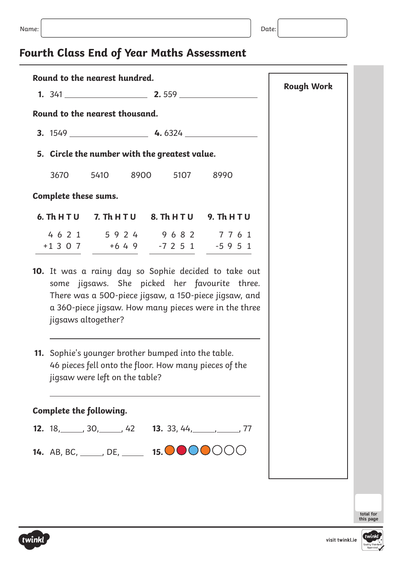# **Fourth Class End of Year Maths Assessment**

| Round to the nearest hundred.                   |                                |                                                                                                                                                                                                                         |                   |
|-------------------------------------------------|--------------------------------|-------------------------------------------------------------------------------------------------------------------------------------------------------------------------------------------------------------------------|-------------------|
|                                                 |                                |                                                                                                                                                                                                                         | <b>Rough Work</b> |
| Round to the nearest thousand.                  |                                |                                                                                                                                                                                                                         |                   |
|                                                 |                                |                                                                                                                                                                                                                         |                   |
|                                                 |                                | 5. Circle the number with the greatest value.                                                                                                                                                                           |                   |
|                                                 |                                | 3670 5410 8900 5107 8990                                                                                                                                                                                                |                   |
| Complete these sums.                            |                                |                                                                                                                                                                                                                         |                   |
|                                                 |                                | 6. Th H T U 7. Th H T U 8. Th H T U 9. Th H T U                                                                                                                                                                         |                   |
|                                                 |                                | 4621 5924 9682 7761<br>$+1307$ $+649$ $-7251$ $-5951$                                                                                                                                                                   |                   |
|                                                 | jigsaws altogether?            | 10. It was a rainy day so Sophie decided to take out<br>some jigsaws. She picked her favourite three.<br>There was a 500-piece jigsaw, a 150-piece jigsaw, and<br>a 360-piece jigsaw. How many pieces were in the three |                   |
|                                                 | jigsaw were left on the table? | 11. Sophie's younger brother bumped into the table.<br>46 pieces fell onto the floor. How many pieces of the                                                                                                            |                   |
| Complete the following.                         |                                |                                                                                                                                                                                                                         |                   |
|                                                 |                                | <b>12.</b> $18, \underline{\hspace{1cm}} 30, \underline{\hspace{1cm}} 42$ <b>13.</b> 33, 44, $\underline{\hspace{1cm}} 77$                                                                                              |                   |
| <b>14.</b> AB, BC, _____, DE, ______ <b>15.</b> |                                |                                                                                                                                                                                                                         |                   |
|                                                 |                                |                                                                                                                                                                                                                         |                   |



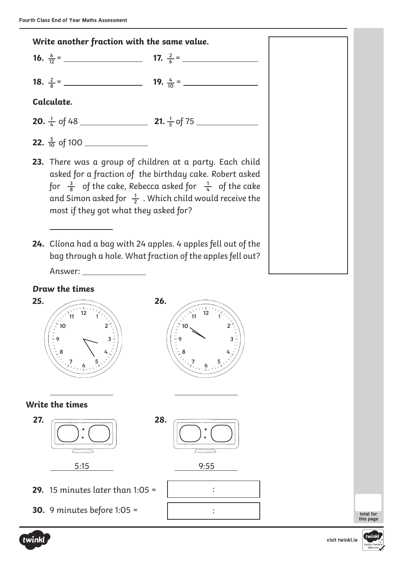



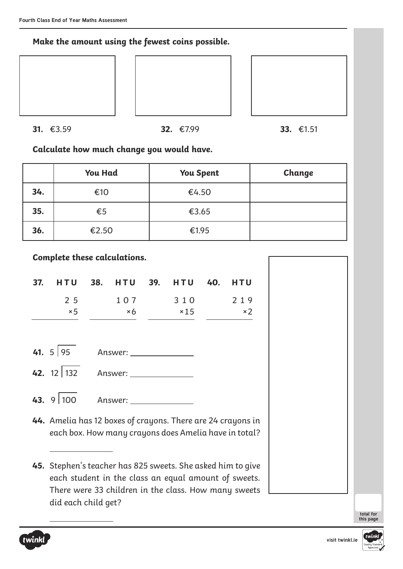**Make the amount using the fewest coins possible.**







**31.** €3.59 **32.** €7.99 **33.** €1.51

**Calculate how much change you would have.**

|     | <b>You Had</b> | <b>You Spent</b> | Change |
|-----|----------------|------------------|--------|
| 34. | €10            | €4.50            |        |
| 35. | $\epsilon$ 5   | €3.65            |        |
| 36. | €2.50          | €1.95            |        |

**Complete these calculations.**

| 37. HTU 38. HTU 39. HTU 40. HTU |            |             |            |
|---------------------------------|------------|-------------|------------|
| 2 5                             | 107        | 310         | 219        |
| $\times$ 5                      | $\times 6$ | $\times$ 15 | $\times$ 2 |

| 41. $5 95$ | Answer: |  |
|------------|---------|--|
|            |         |  |

**42.** 12 132 Answer:

**43.** 9 100 Answer:

**44.** Amelia has 12 boxes of crayons. There are 24 crayons in each box. How many crayons does Amelia have in total?

**<sup>45.</sup>** Stephen's teacher has 825 sweets. She asked him to give each student in the class an equal amount of sweets. There were 33 children in the class. How many sweets did each child get?



 $\overline{a}$ 

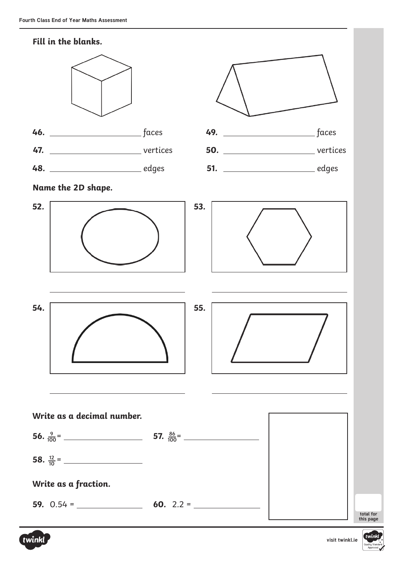



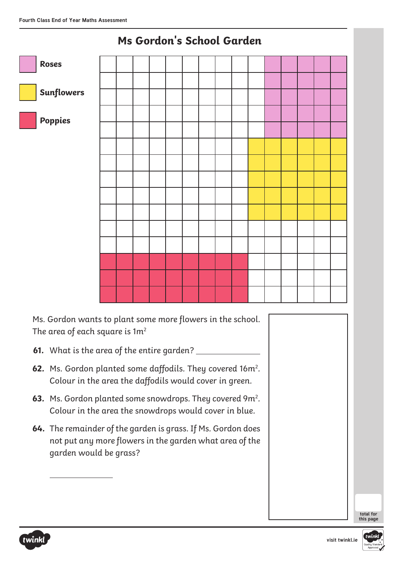

# **Ms Gordon's School Garden**

Ms. Gordon wants to plant some more flowers in the school. The area of each square is  $1m^2$ 

- **61.** What is the area of the entire garden?
- **62.** Ms. Gordon planted some daffodils. They covered 16m<sup>2</sup>. Colour in the area the daffodils would cover in green.
- **63.** Ms. Gordon planted some snowdrops. They covered 9m<sup>2</sup>. Colour in the area the snowdrops would cover in blue.
- **64.** The remainder of the garden is grass. If Ms. Gordon does not put any more flowers in the garden what area of the garden would be grass?





 $\overline{a}$ 

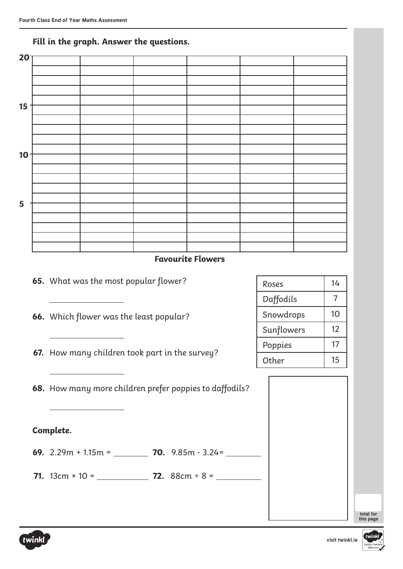| $20-$ |  |  |  |
|-------|--|--|--|
|       |  |  |  |
|       |  |  |  |
|       |  |  |  |
|       |  |  |  |
| 15    |  |  |  |
|       |  |  |  |
|       |  |  |  |
|       |  |  |  |
|       |  |  |  |
| 10    |  |  |  |
|       |  |  |  |
|       |  |  |  |
|       |  |  |  |
|       |  |  |  |
| 5     |  |  |  |
|       |  |  |  |
|       |  |  |  |
|       |  |  |  |
|       |  |  |  |

#### **Fill in the graph. Answer the questions.**

#### **Favourite Flowers**



**66.** Which flower was the least popular?

**67.** How many children took part in the survey?

**68.** How many more children prefer poppies to daffodils?

#### **Complete.**

**69.** 2.29m + 1.15m = **70.** 9.85m - 3.24=

**71.** 13cm × 10 = **72.** 88cm ÷ 8 =

| Roses      | 14 |
|------------|----|
| Daffodils  | 7  |
| Snowdrops  | 10 |
| Sunflowers | 12 |
| Poppies    | 17 |
| Other      | 15 |

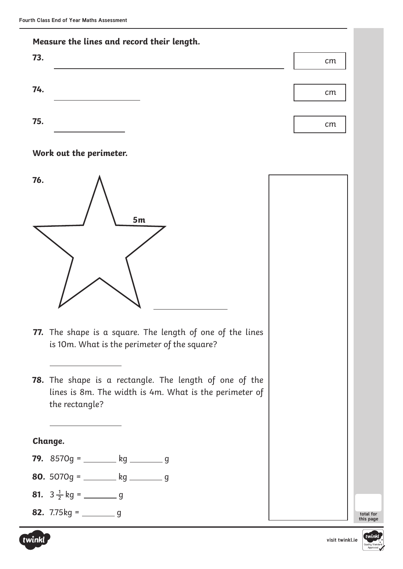

#### **Work out the perimeter.**



- **77.** The shape is a square. The length of one of the lines is 10m. What is the perimeter of the square?
- **78.** The shape is a rectangle. The length of one of the lines is 8m. The width is 4m. What is the perimeter of the rectangle?

#### **Change.**

- **79.** 8570g = kg g
- **80.**  $5070q =$  kg  $\frac{1}{q}$
- **81.** 3 kg = g **1 2**
- **82.** 7.75 $kg =$  g



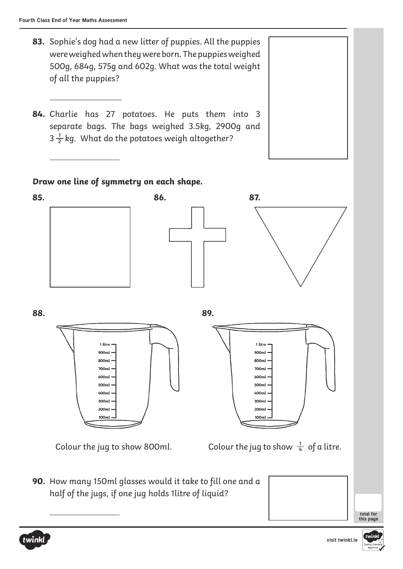- **83.** Sophie's dog had a new litter of puppies. All the puppies were weighed when they were born. The puppies weighed 500g, 684g, 575g and 602g. What was the total weight of all the puppies?
- **84.** Charlie has 27 potatoes. He puts them into 3 separate bags. The bags weighed 3.5kg, 2900g and  $3\frac{1}{2}$  kg. What do the potatoes weigh altogether? **2**

#### **Draw one line of symmetry on each shape.**



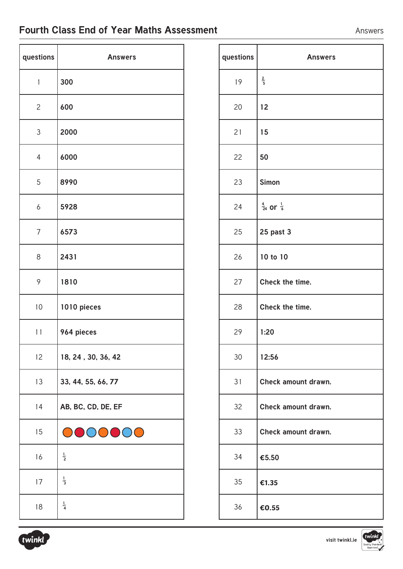### **Fourth Class End of Year Maths Assessment** Answers

| questions    | <b>Answers</b>     |
|--------------|--------------------|
| $\mathbf{1}$ | 300                |
| $\mathbf{2}$ | 600                |
| 3            | 2000               |
| 4            | 6000               |
| 5            | 8990               |
| 6            | 5928               |
| 7            | 6573               |
| 8            | 2431               |
| 9            | 1810               |
| 10           | 1010 pieces        |
| 11           | 964 pieces         |
| 12           | 18, 24, 30, 36, 42 |
| 13           | 33, 44, 55, 66, 77 |
| 14           | AB, BC, CD, DE, EF |
| 15           | DOO                |
| 16           | $\frac{1}{2}$      |
| 17           | $\frac{1}{3}$      |
| 18           | $\frac{1}{4}$      |

| questions | <b>Answers</b>                  |
|-----------|---------------------------------|
| 19        | $\frac{2}{5}$                   |
| 20        | 12                              |
| 21        | 15                              |
| 22        | 50                              |
| 23        | <b>Simon</b>                    |
| 24        | $\frac{4}{24}$ or $\frac{1}{6}$ |
| 25        | 25 past 3                       |
| 26        | 10 to 10                        |
| 27        | Check the time.                 |
| 28        | Check the time.                 |
| 29        | 1:20                            |
| 30        | 12:56                           |
| 31        | Check amount drawn.             |
| 32        | Check amount drawn.             |
| 33        | Check amount drawn.             |
| 34        | $\epsilon$ 5.50                 |
| 35        | £1.35                           |
| 36        | €0.55                           |



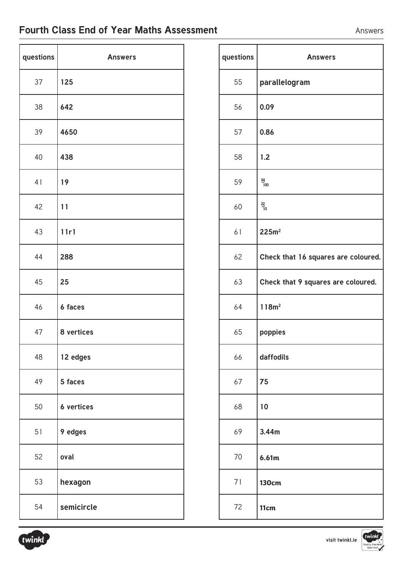### **Fourth Class End of Year Maths Assessment** Answers

| questions | <b>Answers</b> |
|-----------|----------------|
| 37        | 125            |
| 38        | 642            |
| 39        | 4650           |
| 40        | 438            |
| 41        | 19             |
| 42        | 11             |
| 43        | 11r1           |
| 44        | 288            |
| 45        | 25             |
| 46        | 6 faces        |
| 47        | 8 vertices     |
| 48        | 12 edges       |
| 49        | 5 faces        |
| 50        | 6 vertices     |
| 51        | 9 edges        |
| 52        | oval           |
| 53        | hexagon        |
| 54        | semicircle     |

| questions | <b>Answers</b>                      |
|-----------|-------------------------------------|
| 55        | parallelogram                       |
| 56        | 0.09                                |
| 57        | 0.86                                |
| 58        | 1.2                                 |
| 59        | $\frac{54}{100}$                    |
| 60        | $\frac{22}{10}$                     |
| 61        | 225m <sup>2</sup>                   |
| 62        | Check that 16 squares are coloured. |
| 63        | Check that 9 squares are coloured.  |
| 64        | 118m <sup>2</sup>                   |
| 65        | poppies                             |
| 66        | daffodils                           |
| 67        | 75                                  |
| 68        | 10                                  |
| 69        | 3.44m                               |
| 70        | 6.61m                               |
| 71        | <b>130cm</b>                        |
| 72        | 11cm                                |